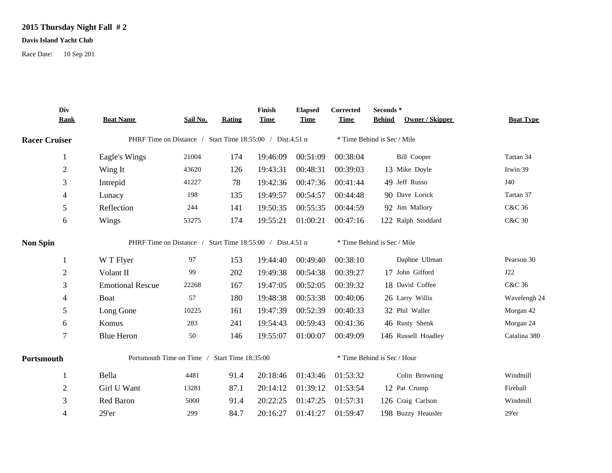## **2015 Thursday Night Fall # 2**

## **Davis Island Yacht Club**

Race Date: 10 Sep 201

|                      | Div<br><b>Rank</b> | <b>Boat Name</b>                                          | Sail No. | <b>Rating</b> | Finish<br><b>Time</b> | <b>Elapsed</b><br><b>Time</b> | Corrected<br><b>Time</b>    | Seconds*<br><b>Behind</b><br>Owner / Skipper | <b>Boat Type</b>  |  |
|----------------------|--------------------|-----------------------------------------------------------|----------|---------------|-----------------------|-------------------------------|-----------------------------|----------------------------------------------|-------------------|--|
| <b>Racer Cruiser</b> |                    | PHRF Time on Distance / Start Time 18:55:00 / Dist.4.51 n |          |               |                       |                               |                             | * Time Behind is Sec / Mile                  |                   |  |
|                      | -1                 | Eagle's Wings                                             | 21004    | 174           | 19:46:09              | 00:51:09                      | 00:38:04                    | <b>Bill Cooper</b>                           | Tartan 34         |  |
|                      | $\overline{2}$     | Wing It                                                   | 43620    | 126           | 19:43:31              | 00:48:31                      | 00:39:03                    | 13 Mike Doyle                                | Irwin 39          |  |
|                      | 3                  | Intrepid                                                  | 41227    | 78            | 19:42:36              | 00:47:36                      | 00:41:44                    | 49 Jeff Russo                                | J40               |  |
|                      | 4                  | Lunacy                                                    | 198      | 135           | 19:49:57              | 00:54:57                      | 00:44:48                    | 90 Dave Lorick                               | Tartan 37         |  |
|                      | 5                  | Reflection                                                | 244      | 141           | 19:50:35              | 00:55:35                      | 00:44:59                    | 92 Jim Mallory                               | C&C 36            |  |
|                      | 6                  | Wings                                                     | 53275    | 174           | 19:55:21              | 01:00:21                      | 00:47:16                    | 122 Ralph Stoddard                           | <b>C&amp;C 30</b> |  |
| <b>Non Spin</b>      |                    | PHRF Time on Distance / Start Time 18:55:00 / Dist.4.51 n |          |               |                       |                               |                             | * Time Behind is Sec / Mile                  |                   |  |
|                      |                    | W T Flyer                                                 | 97       | 153           | 19:44:40              | 00:49:40                      | 00:38:10                    | Daphne Ullman                                | Pearson 30        |  |
|                      | $\overline{2}$     | Volant II                                                 | 99       | 202           | 19:49:38              | 00:54:38                      | 00:39:27                    | 17 John Gifford                              | J22               |  |
|                      | 3                  | <b>Emotional Rescue</b>                                   | 22268    | 167           | 19:47:05              | 00:52:05                      | 00:39:32                    | 18 David Coffee                              | C&C 36            |  |
|                      | 4                  | Boat                                                      | 57       | 180           | 19:48:38              | 00:53:38                      | 00:40:06                    | 26 Larry Willis                              | Wavelengh 24      |  |
|                      | 5                  | Long Gone                                                 | 10225    | 161           | 19:47:39              | 00:52:39                      | 00:40:33                    | 32 Phil Waller                               | Morgan 42         |  |
|                      | 6                  | Komus                                                     | 283      | 241           | 19:54:43              | 00:59:43                      | 00:41:36                    | 46 Rusty Shenk                               | Morgan 24         |  |
|                      | 7                  | <b>Blue Heron</b>                                         | 50       | 146           | 19:55:07              | 01:00:07                      | 00:49:09                    | 146 Russell Hoadley                          | Catalina 380      |  |
| Portsmouth           |                    | Portsmouth Time on Time / Start Time 18:35:00             |          |               |                       |                               | * Time Behind is Sec / Hour |                                              |                   |  |
|                      | 1                  | Bella                                                     | 4481     | 91.4          | 20:18:46              | 01:43:46                      | 01:53:32                    | Colin Browning                               | Windmill          |  |
|                      | $\overline{2}$     | Girl U Want                                               | 13281    | 87.1          | 20:14:12              | 01:39:12                      | 01:53:54                    | 12 Pat Crump                                 | Fireball          |  |
|                      | 3                  | Red Baron                                                 | 5000     | 91.4          | 20:22:25              | 01:47:25                      | 01:57:31                    | 126 Craig Carlson                            | Windmill          |  |
|                      | 4                  | 29'er                                                     | 299      | 84.7          | 20:16:27              | 01:41:27                      | 01:59:47                    | 198 Buzzy Heausler                           | 29'er             |  |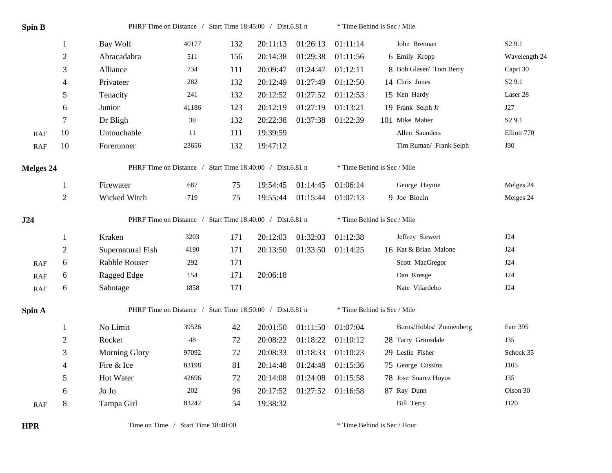| <b>Spin B</b> |                | PHRF Time on Distance / Start Time 18:45:00 / Dist.6.81 n |        |     |          |          | * Time Behind is Sec / Mile |                             |                    |  |  |  |
|---------------|----------------|-----------------------------------------------------------|--------|-----|----------|----------|-----------------------------|-----------------------------|--------------------|--|--|--|
|               | $\mathbf{1}$   | Bay Wolf                                                  | 40177  | 132 | 20:11:13 | 01:26:13 | 01:11:14                    | John Brennan                | S <sub>2</sub> 9.1 |  |  |  |
|               | $\mathbf{2}$   | Abracadabra                                               | 511    | 156 | 20:14:38 | 01:29:38 | 01:11:56                    | 6 Emily Kropp               | Wavelength 24      |  |  |  |
|               | 3              | Alliance                                                  | 734    | 111 | 20:09:47 | 01:24:47 | 01:12:11                    | 8 Bob Glaser/ Tom Berry     | Capri 30           |  |  |  |
|               | $\overline{4}$ | Privateer                                                 | 282    | 132 | 20:12:49 | 01:27:49 | 01:12:50                    | 14 Chris Jones              | S <sub>2</sub> 9.1 |  |  |  |
|               | 5              | Tenacity                                                  | 241    | 132 | 20:12:52 | 01:27:52 | 01:12:53                    | 15 Ken Hardy                | Laser 28           |  |  |  |
|               | 6              | Junior                                                    | 41186  | 123 | 20:12:19 | 01:27:19 | 01:13:21                    | 19 Frank Selph Jr           | J27                |  |  |  |
|               | $\tau$         | Dr Bligh                                                  | $30\,$ | 132 | 20:22:38 | 01:37:38 | 01:22:39                    | 101 Mike Maher              | S <sub>2</sub> 9.1 |  |  |  |
| <b>RAF</b>    | $10\,$         | Untouchable                                               | 11     | 111 | 19:39:59 |          |                             | Allen Saunders              | Elliott 770        |  |  |  |
| <b>RAF</b>    | 10             | Forerunner                                                | 23656  | 132 | 19:47:12 |          |                             | Tim Ruman/ Frank Selph      | <b>J30</b>         |  |  |  |
| Melges 24     |                | PHRF Time on Distance / Start Time 18:40:00 / Dist.6.81 n |        |     |          |          | * Time Behind is Sec / Mile |                             |                    |  |  |  |
|               | 1              | Firewater                                                 | 687    | 75  | 19:54:45 | 01:14:45 | 01:06:14                    | George Haynie               | Melges 24          |  |  |  |
|               | $\overline{2}$ | Wicked Witch                                              | 719    | 75  | 19:55:44 | 01:15:44 | 01:07:13                    | 9 Joe Blouin                | Melges 24          |  |  |  |
| J24           |                | PHRF Time on Distance / Start Time 18:40:00 / Dist.6.81 n |        |     |          |          |                             | * Time Behind is Sec / Mile |                    |  |  |  |
|               | 1              | Kraken                                                    | 3203   | 171 | 20:12:03 | 01:32:03 | 01:12:38                    | Jeffrey Siewert             | J24                |  |  |  |
|               | $\sqrt{2}$     | Supernatural Fish                                         | 4190   | 171 | 20:13:50 | 01:33:50 | 01:14:25                    | 16 Kat & Brian Malone       | J24                |  |  |  |
| RAF           | $\sqrt{6}$     | Rabble Rouser                                             | 292    | 171 |          |          |                             | Scott MacGregor             | J24                |  |  |  |
| RAF           | 6              | Ragged Edge                                               | 154    | 171 | 20:06:18 |          |                             | Dan Kresge                  | J24                |  |  |  |
| <b>RAF</b>    | 6              | Sabotage                                                  | 1858   | 171 |          |          |                             | Nate Vilardebo              | J24                |  |  |  |
| Spin A        |                | PHRF Time on Distance / Start Time 18:50:00 / Dist.6.81 n |        |     |          |          |                             | * Time Behind is Sec / Mile |                    |  |  |  |
|               | $\mathbf{1}$   | No Limit                                                  | 39526  | 42  | 20:01:50 | 01:11:50 | 01:07:04                    | Burns/Hobbs/ Zonnenberg     | Farr 395           |  |  |  |
|               | $\overline{2}$ | Rocket                                                    | 48     | 72  | 20:08:22 | 01:18:22 | 01:10:12                    | 28 Tarry Grimsdale          | <b>J35</b>         |  |  |  |
|               | 3              | <b>Morning Glory</b>                                      | 97092  | 72  | 20:08:33 | 01:18:33 | 01:10:23                    | 29 Leslie Fisher            | Schock 35          |  |  |  |
|               | 4              | Fire & Ice                                                | 83198  | 81  | 20:14:48 | 01:24:48 | 01:15:36                    | 75 George Cussins           | J105               |  |  |  |
|               | 5              | Hot Water                                                 | 42696  | 72  | 20:14:08 | 01:24:08 | 01:15:58                    | 78 Jose Suarez Hoyos        | <b>J35</b>         |  |  |  |
|               | 6              | Jo Jo                                                     | 202    | 96  | 20:17:52 | 01:27:52 | 01:16:58                    | 87 Ray Dunn                 | Olson 30           |  |  |  |
|               |                |                                                           |        |     |          |          |                             |                             |                    |  |  |  |